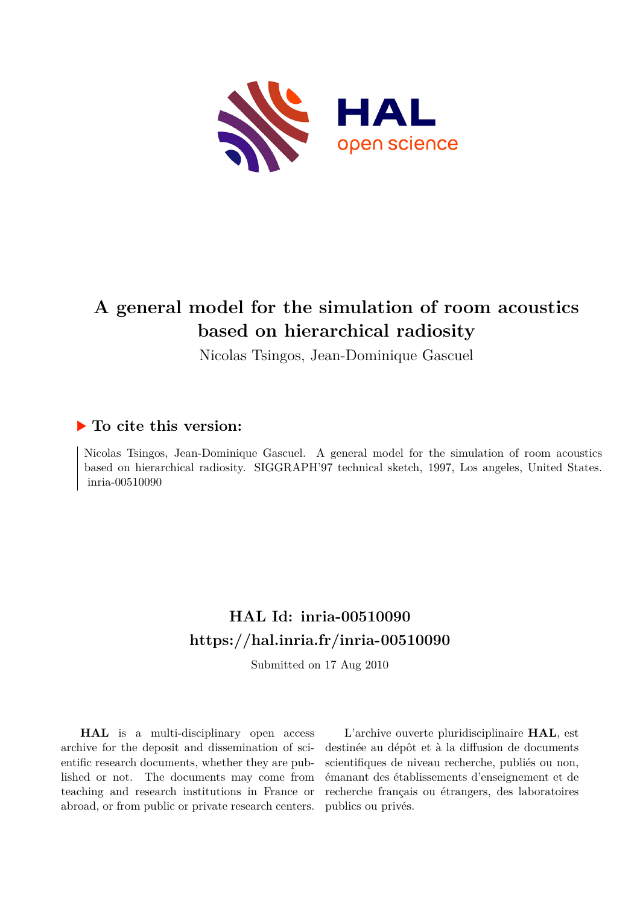

## **A general model for the simulation of room acoustics based on hierarchical radiosity**

Nicolas Tsingos, Jean-Dominique Gascuel

### **To cite this version:**

Nicolas Tsingos, Jean-Dominique Gascuel. A general model for the simulation of room acoustics based on hierarchical radiosity. SIGGRAPH'97 technical sketch, 1997, Los angeles, United States.  $inria-00510090$ 

## **HAL Id: inria-00510090 <https://hal.inria.fr/inria-00510090>**

Submitted on 17 Aug 2010

**HAL** is a multi-disciplinary open access archive for the deposit and dissemination of scientific research documents, whether they are published or not. The documents may come from teaching and research institutions in France or abroad, or from public or private research centers.

L'archive ouverte pluridisciplinaire **HAL**, est destinée au dépôt et à la diffusion de documents scientifiques de niveau recherche, publiés ou non, émanant des établissements d'enseignement et de recherche français ou étrangers, des laboratoires publics ou privés.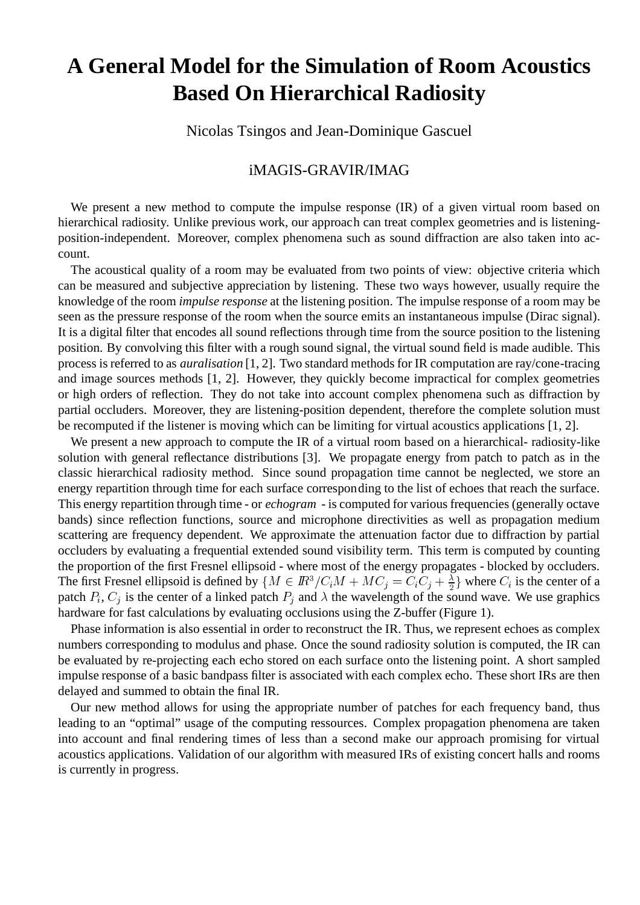# **A General Model for the Simulation of Room Acoustics Based On Hierarchical Radiosity**

Nicolas Tsingos and Jean-Dominique Gascuel

#### iMAGIS-GRAVIR/IMAG

We present a new method to compute the impulse response (IR) of a given virtual room based on hierarchical radiosity. Unlike previous work, our approach can treat complex geometries and is listeningposition-independent. Moreover, complex phenomena such as sound diffraction are also taken into account.

The acoustical quality of a room may be evaluated from two points of view: objective criteria which can be measured and subjective appreciation by listening. These two ways however, usually require the knowledge of the room *impulse response* at the listening position. The impulse response of a room may be seen as the pressure response of the room when the source emits an instantaneous impulse (Dirac signal). It is a digital filter that encodes all sound reflections through time from the source position to the listening position. By convolving this filter with a rough sound signal, the virtual sound field is made audible. This process is referred to as *auralisation* [1, 2]. Two standard methods for IR computation are ray/cone-tracing and image sources methods [1, 2]. However, they quickly become impractical for complex geometries or high orders of reflection. They do not take into account complex phenomena such as diffraction by partial occluders. Moreover, they are listening-position dependent, therefore the complete solution must be recomputed if the listener is moving which can be limiting for virtual acoustics applications [1, 2].

We present a new approach to compute the IR of a virtual room based on a hierarchical- radiosity-like solution with general reflectance distributions [3]. We propagate energy from patch to patch as in the classic hierarchical radiosity method. Since sound propagation time cannot be neglected, we store an energy repartition through time for each surface corresponding to the list of echoes that reach the surface. This energy repartition through time - or *echogram* - is computed for various frequencies (generally octave bands) since reflection functions, source and microphone directivities as well as propagation medium scattering are frequency dependent. We approximate the attenuation factor due to diffraction by partial occluders by evaluating a frequential extended sound visibility term. This term is computed by counting the proportion of the first Fresnel ellipsoid - where most of the energy propagates - blocked by occluders. The first Fresnel ellipsoid is defined by  $\{M \in \mathbb{R}^3/C_iM + MC_j = C_iC_j + \frac{\lambda}{2}\}$  where  $C_i$  is the center of a patch  $P_i$ ,  $C_j$  is the center of a linked patch  $P_j$  and  $\lambda$  the wavelength of the sound wave. We use graphics hardware for fast calculations by evaluating occlusions using the Z-buffer (Figure 1).

Phase information is also essential in order to reconstruct the IR. Thus, we represent echoes as complex numbers corresponding to modulus and phase. Once the sound radiosity solution is computed, the IR can be evaluated by re-projecting each echo stored on each surface onto the listening point. A short sampled impulse response of a basic bandpass filter is associated with each complex echo. These short IRs are then delayed and summed to obtain the final IR.

Our new method allows for using the appropriate number of patches for each frequency band, thus leading to an "optimal" usage of the computing ressources. Complex propagation phenomena are taken into account and final rendering times of less than a second make our approach promising for virtual acoustics applications. Validation of our algorithm with measured IRs of existing concert halls and rooms is currently in progress.